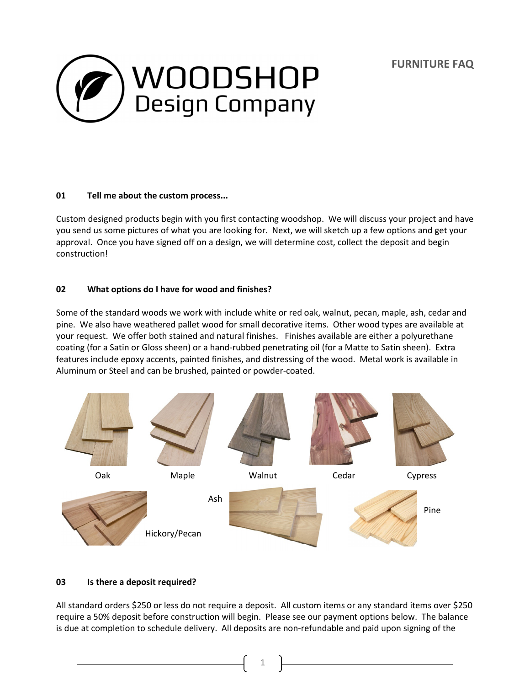**FURNITURE FAQ**



# **01 Tell me about the custom process...**

Custom designed products begin with you first contacting woodshop. We will discuss your project and have you send us some pictures of what you are looking for. Next, we will sketch up a few options and get your approval. Once you have signed off on a design, we will determine cost, collect the deposit and begin construction!

# **02 What options do I have for wood and finishes?**

Some of the standard woods we work with include white or red oak, walnut, pecan, maple, ash, cedar and pine. We also have weathered pallet wood for small decorative items. Other wood types are available at your request. We offer both stained and natural finishes. Finishes available are either a polyurethane coating (for a Satin or Gloss sheen) or a hand-rubbed penetrating oil (for a Matte to Satin sheen). Extra features include epoxy accents, painted finishes, and distressing of the wood. Metal work is available in Aluminum or Steel and can be brushed, painted or powder-coated.



# **03 Is there a deposit required?**

All standard orders \$250 or less do not require a deposit. All custom items or any standard items over \$250 require a 50% deposit before construction will begin. Please see our payment options below. The balance is due at completion to schedule delivery. All deposits are non-refundable and paid upon signing of the